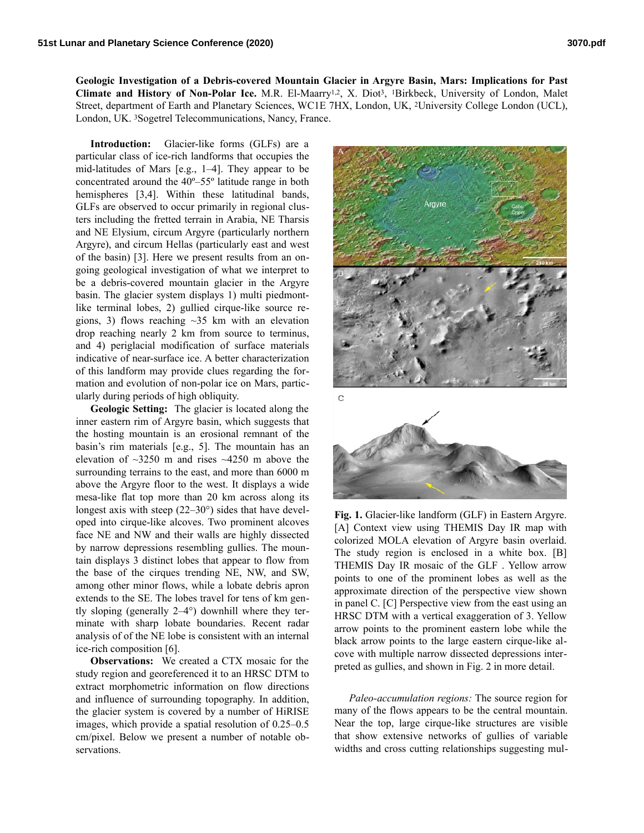**Geologic Investigation of a Debris-covered Mountain Glacier in Argyre Basin, Mars: Implications for Past Climate and History of Non-Polar Ice.** M.R. El-Maarry1,2, X. Diot3, 1Birkbeck, University of London, Malet Street, department of Earth and Planetary Sciences, WC1E 7HX, London, UK, 2University College London (UCL), London, UK. 3Sogetrel Telecommunications, Nancy, France.

**Introduction:** Glacier-like forms (GLFs) are a particular class of ice-rich landforms that occupies the mid-latitudes of Mars [e.g., 1–4]. They appear to be concentrated around the 40º–55º latitude range in both hemispheres [3,4]. Within these latitudinal bands, GLFs are observed to occur primarily in regional clusters including the fretted terrain in Arabia, NE Tharsis and NE Elysium, circum Argyre (particularly northern Argyre), and circum Hellas (particularly east and west of the basin) [3]. Here we present results from an ongoing geological investigation of what we interpret to be a debris-covered mountain glacier in the Argyre basin. The glacier system displays 1) multi piedmontlike terminal lobes, 2) gullied cirque-like source regions, 3) flows reaching  $\sim$ 35 km with an elevation drop reaching nearly 2 km from source to terminus, and 4) periglacial modification of surface materials indicative of near-surface ice. A better characterization of this landform may provide clues regarding the formation and evolution of non-polar ice on Mars, particularly during periods of high obliquity.

**Geologic Setting:** The glacier is located along the inner eastern rim of Argyre basin, which suggests that the hosting mountain is an erosional remnant of the basin's rim materials [e.g., 5]. The mountain has an elevation of  $\sim$ 3250 m and rises  $\sim$ 4250 m above the surrounding terrains to the east, and more than 6000 m above the Argyre floor to the west. It displays a wide mesa-like flat top more than 20 km across along its longest axis with steep (22–30°) sides that have developed into cirque-like alcoves. Two prominent alcoves face NE and NW and their walls are highly dissected by narrow depressions resembling gullies. The mountain displays 3 distinct lobes that appear to flow from the base of the cirques trending NE, NW, and SW, among other minor flows, while a lobate debris apron extends to the SE. The lobes travel for tens of km gently sloping (generally 2–4°) downhill where they terminate with sharp lobate boundaries. Recent radar analysis of of the NE lobe is consistent with an internal ice-rich composition [6].

**Observations:** We created a CTX mosaic for the study region and georeferenced it to an HRSC DTM to extract morphometric information on flow directions and influence of surrounding topography. In addition, the glacier system is covered by a number of HiRISE images, which provide a spatial resolution of 0.25–0.5 cm/pixel. Below we present a number of notable observations.



**Fig. 1.** Glacier-like landform (GLF) in Eastern Argyre. [A] Context view using THEMIS Day IR map with colorized MOLA elevation of Argyre basin overlaid. The study region is enclosed in a white box. [B] THEMIS Day IR mosaic of the GLF . Yellow arrow points to one of the prominent lobes as well as the approximate direction of the perspective view shown in panel C. [C] Perspective view from the east using an HRSC DTM with a vertical exaggeration of 3. Yellow arrow points to the prominent eastern lobe while the black arrow points to the large eastern cirque-like alcove with multiple narrow dissected depressions interpreted as gullies, and shown in Fig. 2 in more detail.

*Paleo-accumulation regions:* The source region for many of the flows appears to be the central mountain. Near the top, large cirque-like structures are visible that show extensive networks of gullies of variable widths and cross cutting relationships suggesting mul